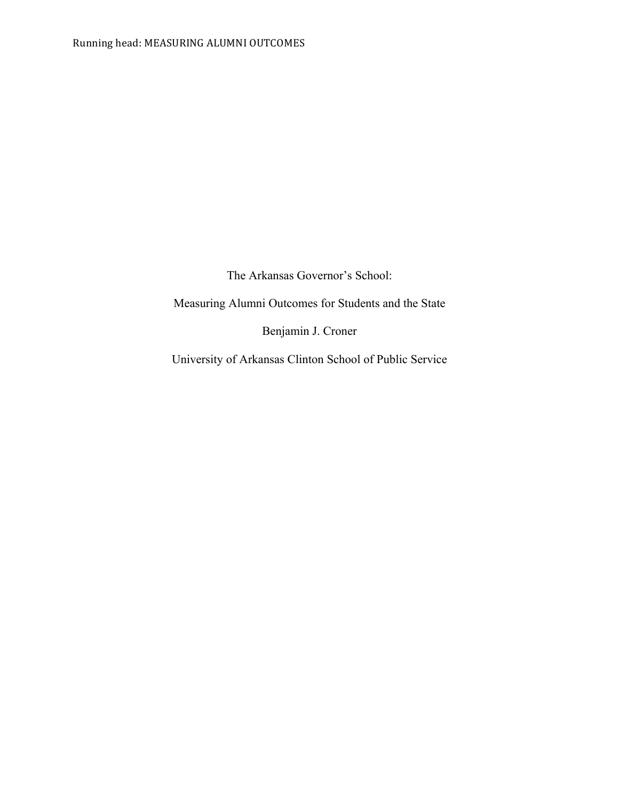The Arkansas Governor's School:

Measuring Alumni Outcomes for Students and the State

Benjamin J. Croner

University of Arkansas Clinton School of Public Service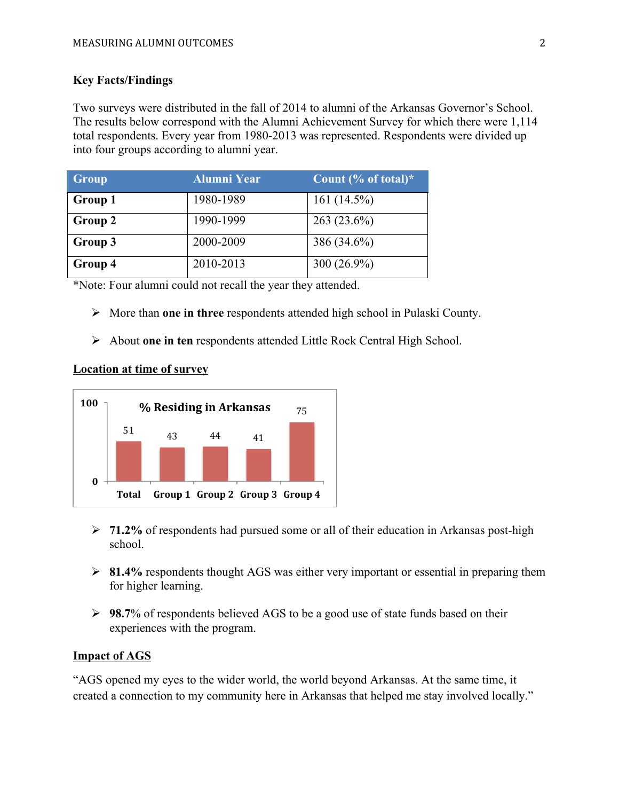# **Key Facts/Findings**

Two surveys were distributed in the fall of 2014 to alumni of the Arkansas Governor's School. The results below correspond with the Alumni Achievement Survey for which there were 1,114 total respondents. Every year from 1980-2013 was represented. Respondents were divided up into four groups according to alumni year.

| Group          | <b>Alumni Year</b> | Count $% of total$ * |
|----------------|--------------------|----------------------|
| <b>Group 1</b> | 1980-1989          | 161 $(14.5\%)$       |
| Group 2        | 1990-1999          | $263(23.6\%)$        |
| Group 3        | 2000-2009          | 386 (34.6%)          |
| Group 4        | 2010-2013          | 300 $(26.9\%)$       |

\*Note: Four alumni could not recall the year they attended.

- ! More than **one in three** respondents attended high school in Pulaski County.
- ! About **one in ten** respondents attended Little Rock Central High School.

## **Location at time of survey**



- ! **71.2%** of respondents had pursued some or all of their education in Arkansas post-high school.
- ! **81.4%** respondents thought AGS was either very important or essential in preparing them for higher learning.
- ! **98.7**% of respondents believed AGS to be a good use of state funds based on their experiences with the program.

# **Impact of AGS**

"AGS opened my eyes to the wider world, the world beyond Arkansas. At the same time, it created a connection to my community here in Arkansas that helped me stay involved locally."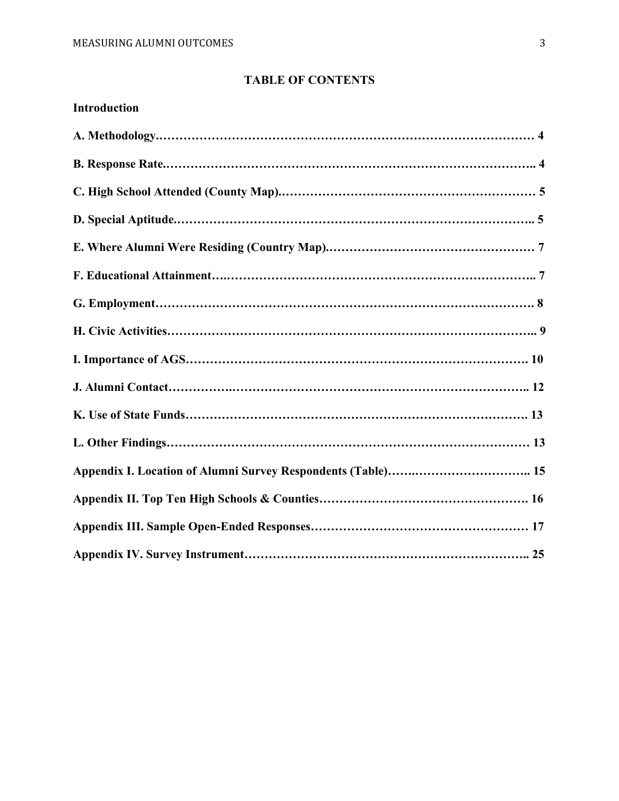# **TABLE OF CONTENTS**

| <b>Introduction</b> |  |
|---------------------|--|
|                     |  |
|                     |  |
|                     |  |
|                     |  |
|                     |  |
|                     |  |
|                     |  |
|                     |  |
|                     |  |
|                     |  |
|                     |  |
|                     |  |
|                     |  |
|                     |  |
|                     |  |
|                     |  |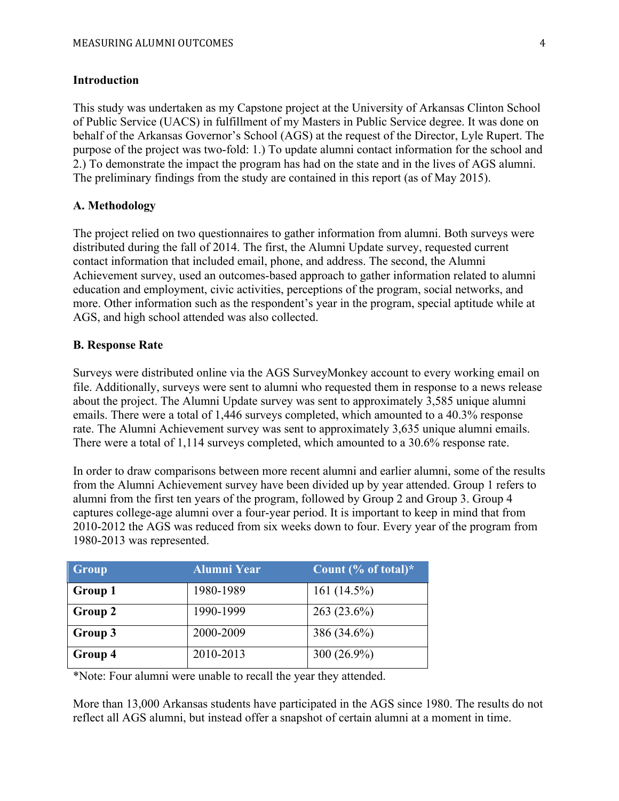#### **Introduction**

This study was undertaken as my Capstone project at the University of Arkansas Clinton School of Public Service (UACS) in fulfillment of my Masters in Public Service degree. It was done on behalf of the Arkansas Governor's School (AGS) at the request of the Director, Lyle Rupert. The purpose of the project was two-fold: 1.) To update alumni contact information for the school and 2.) To demonstrate the impact the program has had on the state and in the lives of AGS alumni. The preliminary findings from the study are contained in this report (as of May 2015).

#### **A. Methodology**

The project relied on two questionnaires to gather information from alumni. Both surveys were distributed during the fall of 2014. The first, the Alumni Update survey, requested current contact information that included email, phone, and address. The second, the Alumni Achievement survey, used an outcomes-based approach to gather information related to alumni education and employment, civic activities, perceptions of the program, social networks, and more. Other information such as the respondent's year in the program, special aptitude while at AGS, and high school attended was also collected.

#### **B. Response Rate**

Surveys were distributed online via the AGS SurveyMonkey account to every working email on file. Additionally, surveys were sent to alumni who requested them in response to a news release about the project. The Alumni Update survey was sent to approximately 3,585 unique alumni emails. There were a total of 1,446 surveys completed, which amounted to a 40.3% response rate. The Alumni Achievement survey was sent to approximately 3,635 unique alumni emails. There were a total of 1,114 surveys completed, which amounted to a 30.6% response rate.

In order to draw comparisons between more recent alumni and earlier alumni, some of the results from the Alumni Achievement survey have been divided up by year attended. Group 1 refers to alumni from the first ten years of the program, followed by Group 2 and Group 3. Group 4 captures college-age alumni over a four-year period. It is important to keep in mind that from 2010-2012 the AGS was reduced from six weeks down to four. Every year of the program from 1980-2013 was represented.

| Group          | <b>Alumni Year</b> | Count $% of total$ * |
|----------------|--------------------|----------------------|
| <b>Group 1</b> | 1980-1989          | 161 $(14.5\%)$       |
| Group 2        | 1990-1999          | $263(23.6\%)$        |
| Group 3        | 2000-2009          | 386 (34.6%)          |
| Group 4        | 2010-2013          | 300 $(26.9\%)$       |

\*Note: Four alumni were unable to recall the year they attended.

More than 13,000 Arkansas students have participated in the AGS since 1980. The results do not reflect all AGS alumni, but instead offer a snapshot of certain alumni at a moment in time.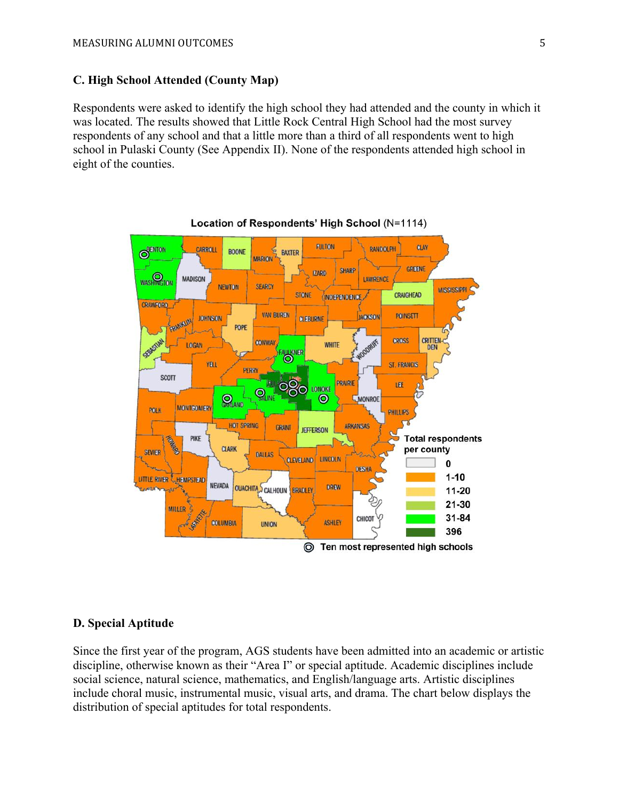# **C. High School Attended (County Map)**

Respondents were asked to identify the high school they had attended and the county in which it was located. The results showed that Little Rock Central High School had the most survey respondents of any school and that a little more than a third of all respondents went to high school in Pulaski County (See Appendix II). None of the respondents attended high school in eight of the counties.





## **D. Special Aptitude**

Since the first year of the program, AGS students have been admitted into an academic or artistic discipline, otherwise known as their "Area I" or special aptitude. Academic disciplines include social science, natural science, mathematics, and English/language arts. Artistic disciplines include choral music, instrumental music, visual arts, and drama. The chart below displays the distribution of special aptitudes for total respondents.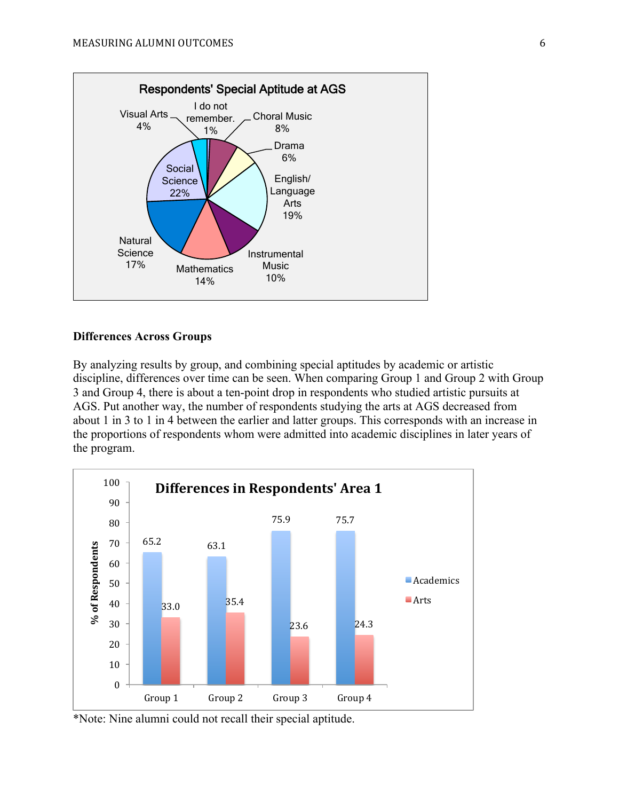

#### **Differences Across Groups**

By analyzing results by group, and combining special aptitudes by academic or artistic discipline, differences over time can be seen. When comparing Group 1 and Group 2 with Group 3 and Group 4, there is about a ten-point drop in respondents who studied artistic pursuits at AGS. Put another way, the number of respondents studying the arts at AGS decreased from about 1 in 3 to 1 in 4 between the earlier and latter groups. This corresponds with an increase in the proportions of respondents whom were admitted into academic disciplines in later years of the program.



\*Note: Nine alumni could not recall their special aptitude.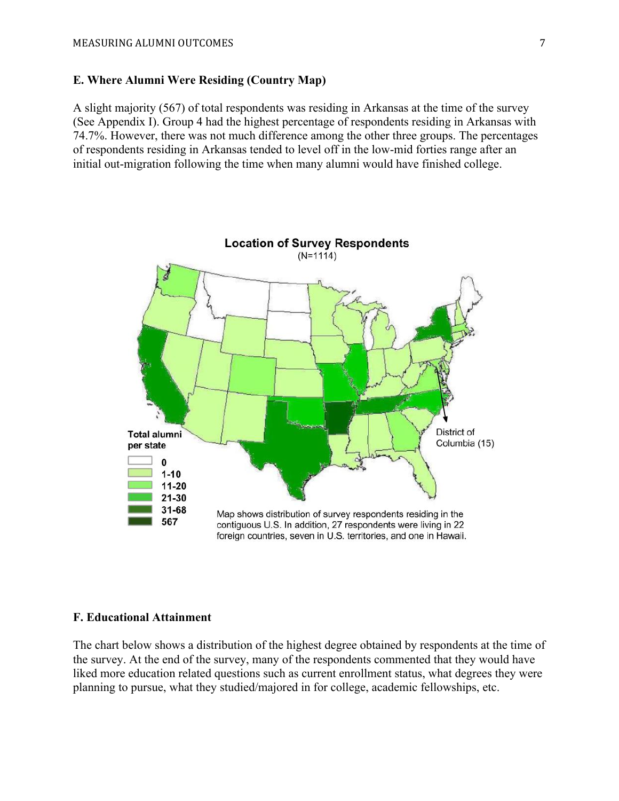#### **E. Where Alumni Were Residing (Country Map)**

A slight majority (567) of total respondents was residing in Arkansas at the time of the survey (See Appendix I). Group 4 had the highest percentage of respondents residing in Arkansas with 74.7%. However, there was not much difference among the other three groups. The percentages of respondents residing in Arkansas tended to level off in the low-mid forties range after an initial out-migration following the time when many alumni would have finished college.



#### **F. Educational Attainment**

The chart below shows a distribution of the highest degree obtained by respondents at the time of the survey. At the end of the survey, many of the respondents commented that they would have liked more education related questions such as current enrollment status, what degrees they were planning to pursue, what they studied/majored in for college, academic fellowships, etc.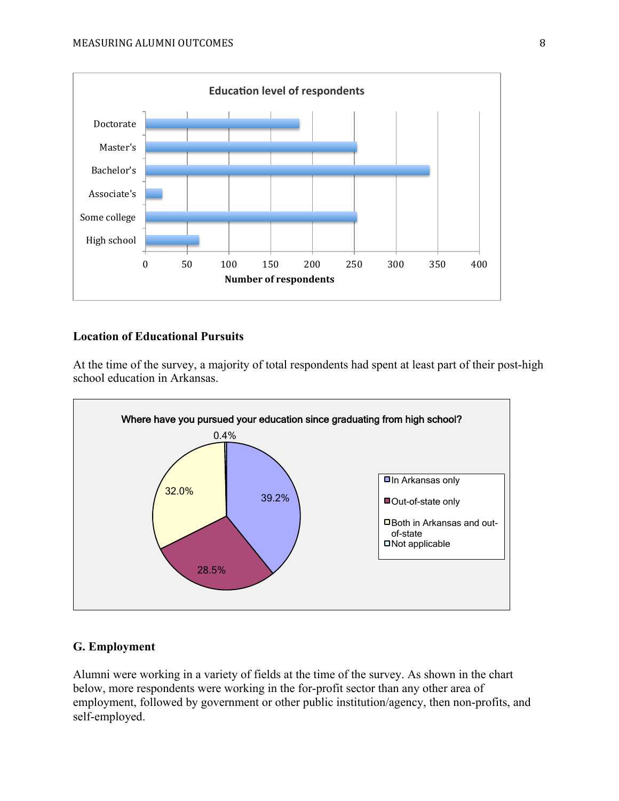

## **Location of Educational Pursuits**

At the time of the survey, a majority of total respondents had spent at least part of their post-high school education in Arkansas.



#### **G. Employment**

Alumni were working in a variety of fields at the time of the survey. As shown in the chart below, more respondents were working in the for-profit sector than any other area of employment, followed by government or other public institution/agency, then non-profits, and self-employed.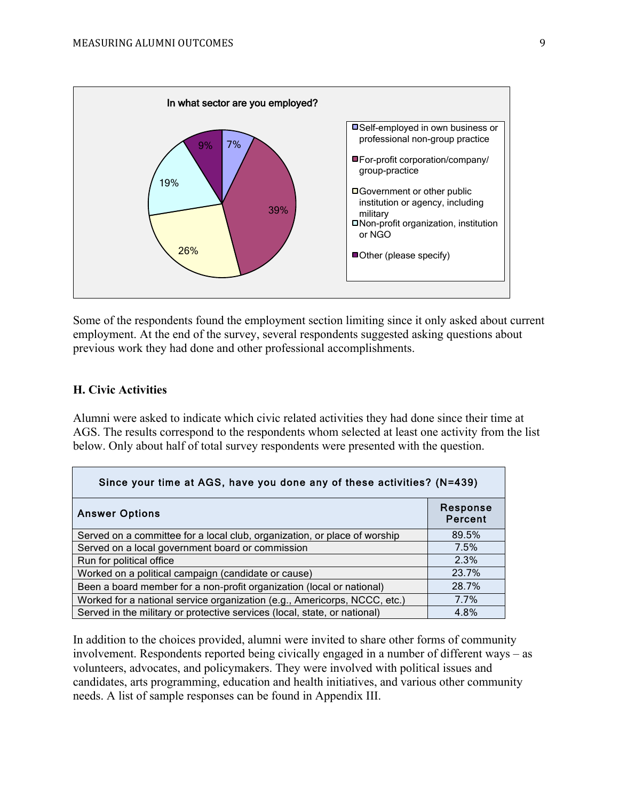

Some of the respondents found the employment section limiting since it only asked about current employment. At the end of the survey, several respondents suggested asking questions about previous work they had done and other professional accomplishments.

## **H. Civic Activities**

Alumni were asked to indicate which civic related activities they had done since their time at AGS. The results correspond to the respondents whom selected at least one activity from the list below. Only about half of total survey respondents were presented with the question.

| Since your time at AGS, have you done any of these activities? (N=439)    |                            |  |  |  |
|---------------------------------------------------------------------------|----------------------------|--|--|--|
| <b>Answer Options</b>                                                     | Response<br><b>Percent</b> |  |  |  |
| Served on a committee for a local club, organization, or place of worship | 89.5%                      |  |  |  |
| Served on a local government board or commission                          | 7.5%                       |  |  |  |
| Run for political office                                                  | 2.3%                       |  |  |  |
| Worked on a political campaign (candidate or cause)                       | 23.7%                      |  |  |  |
| Been a board member for a non-profit organization (local or national)     | 28.7%                      |  |  |  |
| Worked for a national service organization (e.g., Americorps, NCCC, etc.) | 7.7%                       |  |  |  |
| Served in the military or protective services (local, state, or national) | 4.8%                       |  |  |  |

In addition to the choices provided, alumni were invited to share other forms of community involvement. Respondents reported being civically engaged in a number of different ways – as volunteers, advocates, and policymakers. They were involved with political issues and candidates, arts programming, education and health initiatives, and various other community needs. A list of sample responses can be found in Appendix III.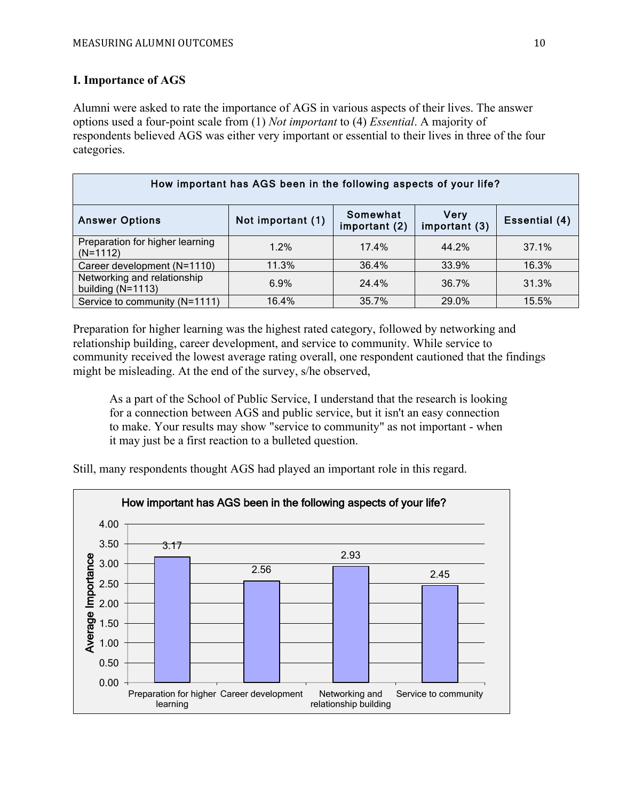## **I. Importance of AGS**

Alumni were asked to rate the importance of AGS in various aspects of their lives. The answer options used a four-point scale from (1) *Not important* to (4) *Essential*. A majority of respondents believed AGS was either very important or essential to their lives in three of the four categories.

| How important has AGS been in the following aspects of your life? |                   |                           |                              |               |  |
|-------------------------------------------------------------------|-------------------|---------------------------|------------------------------|---------------|--|
| <b>Answer Options</b>                                             | Not important (1) | Somewhat<br>important (2) | <b>Very</b><br>important (3) | Essential (4) |  |
| Preparation for higher learning<br>$(N=1112)$                     | 1.2%              | 17.4%                     | 44.2%                        | 37.1%         |  |
| Career development (N=1110)                                       | 11.3%             | 36.4%                     | 33.9%                        | 16.3%         |  |
| Networking and relationship<br>building $(N=1113)$                | 6.9%              | 24.4%                     | 36.7%                        | 31.3%         |  |
| Service to community (N=1111)                                     | 16.4%             | 35.7%                     | 29.0%                        | 15.5%         |  |

Preparation for higher learning was the highest rated category, followed by networking and relationship building, career development, and service to community. While service to community received the lowest average rating overall, one respondent cautioned that the findings might be misleading. At the end of the survey, s/he observed,

As a part of the School of Public Service, I understand that the research is looking for a connection between AGS and public service, but it isn't an easy connection to make. Your results may show "service to community" as not important - when it may just be a first reaction to a bulleted question.

Still, many respondents thought AGS had played an important role in this regard.

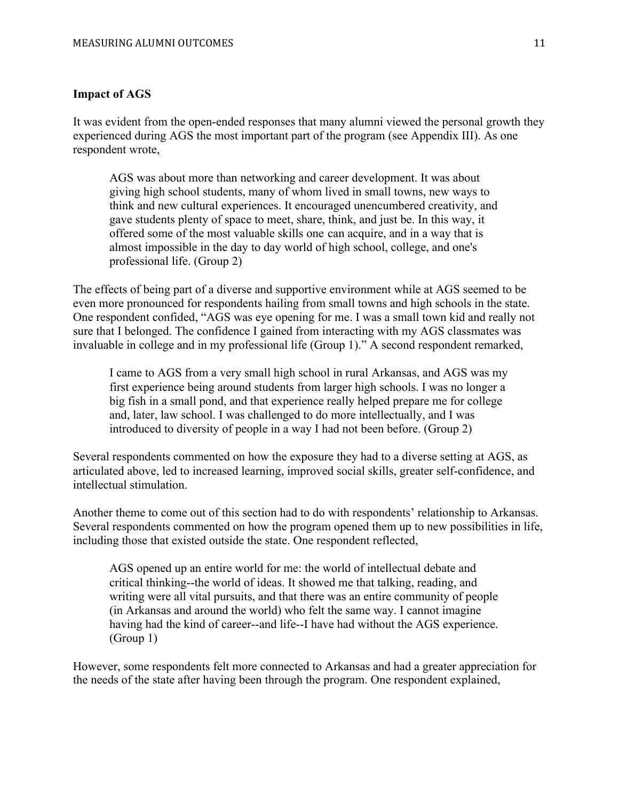#### **Impact of AGS**

It was evident from the open-ended responses that many alumni viewed the personal growth they experienced during AGS the most important part of the program (see Appendix III). As one respondent wrote,

AGS was about more than networking and career development. It was about giving high school students, many of whom lived in small towns, new ways to think and new cultural experiences. It encouraged unencumbered creativity, and gave students plenty of space to meet, share, think, and just be. In this way, it offered some of the most valuable skills one can acquire, and in a way that is almost impossible in the day to day world of high school, college, and one's professional life. (Group 2)

The effects of being part of a diverse and supportive environment while at AGS seemed to be even more pronounced for respondents hailing from small towns and high schools in the state. One respondent confided, "AGS was eye opening for me. I was a small town kid and really not sure that I belonged. The confidence I gained from interacting with my AGS classmates was invaluable in college and in my professional life (Group 1)." A second respondent remarked,

I came to AGS from a very small high school in rural Arkansas, and AGS was my first experience being around students from larger high schools. I was no longer a big fish in a small pond, and that experience really helped prepare me for college and, later, law school. I was challenged to do more intellectually, and I was introduced to diversity of people in a way I had not been before. (Group 2)

Several respondents commented on how the exposure they had to a diverse setting at AGS, as articulated above, led to increased learning, improved social skills, greater self-confidence, and intellectual stimulation.

Another theme to come out of this section had to do with respondents' relationship to Arkansas. Several respondents commented on how the program opened them up to new possibilities in life, including those that existed outside the state. One respondent reflected,

AGS opened up an entire world for me: the world of intellectual debate and critical thinking--the world of ideas. It showed me that talking, reading, and writing were all vital pursuits, and that there was an entire community of people (in Arkansas and around the world) who felt the same way. I cannot imagine having had the kind of career--and life--I have had without the AGS experience. (Group 1)

However, some respondents felt more connected to Arkansas and had a greater appreciation for the needs of the state after having been through the program. One respondent explained,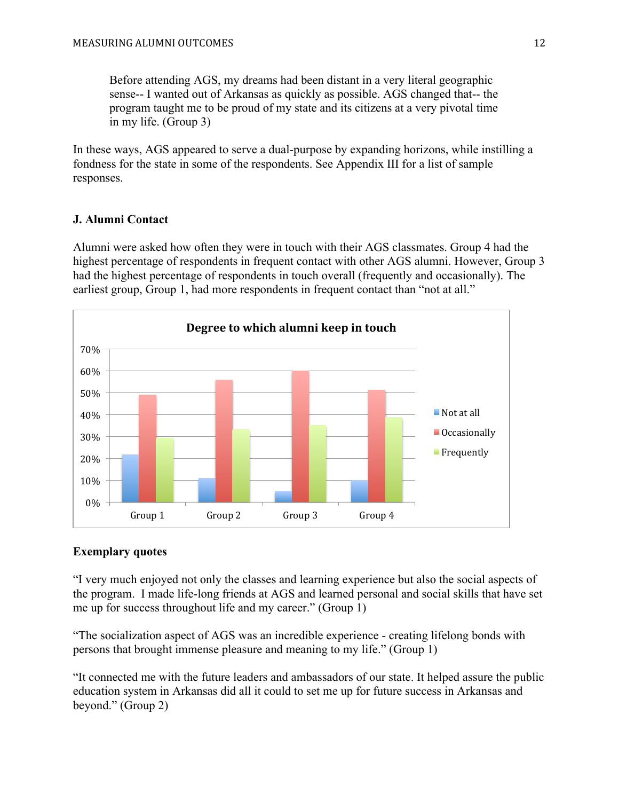Before attending AGS, my dreams had been distant in a very literal geographic sense-- I wanted out of Arkansas as quickly as possible. AGS changed that-- the program taught me to be proud of my state and its citizens at a very pivotal time in my life. (Group 3)

In these ways, AGS appeared to serve a dual-purpose by expanding horizons, while instilling a fondness for the state in some of the respondents. See Appendix III for a list of sample responses.

# **J. Alumni Contact**

Alumni were asked how often they were in touch with their AGS classmates. Group 4 had the highest percentage of respondents in frequent contact with other AGS alumni. However, Group 3 had the highest percentage of respondents in touch overall (frequently and occasionally). The earliest group, Group 1, had more respondents in frequent contact than "not at all."



# **Exemplary quotes**

"I very much enjoyed not only the classes and learning experience but also the social aspects of the program. I made life-long friends at AGS and learned personal and social skills that have set me up for success throughout life and my career." (Group 1)

"The socialization aspect of AGS was an incredible experience - creating lifelong bonds with persons that brought immense pleasure and meaning to my life." (Group 1)

"It connected me with the future leaders and ambassadors of our state. It helped assure the public education system in Arkansas did all it could to set me up for future success in Arkansas and beyond." (Group 2)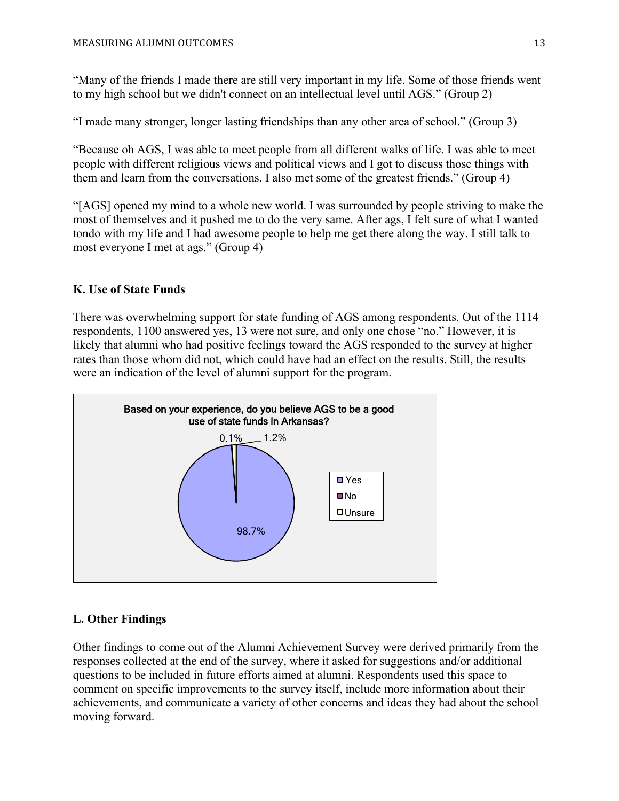"Many of the friends I made there are still very important in my life. Some of those friends went to my high school but we didn't connect on an intellectual level until AGS." (Group 2)

"I made many stronger, longer lasting friendships than any other area of school." (Group 3)

"Because oh AGS, I was able to meet people from all different walks of life. I was able to meet people with different religious views and political views and I got to discuss those things with them and learn from the conversations. I also met some of the greatest friends." (Group 4)

"[AGS] opened my mind to a whole new world. I was surrounded by people striving to make the most of themselves and it pushed me to do the very same. After ags, I felt sure of what I wanted tondo with my life and I had awesome people to help me get there along the way. I still talk to most everyone I met at ags." (Group 4)

# **K. Use of State Funds**

There was overwhelming support for state funding of AGS among respondents. Out of the 1114 respondents, 1100 answered yes, 13 were not sure, and only one chose "no." However, it is likely that alumni who had positive feelings toward the AGS responded to the survey at higher rates than those whom did not, which could have had an effect on the results. Still, the results were an indication of the level of alumni support for the program.



# **L. Other Findings**

Other findings to come out of the Alumni Achievement Survey were derived primarily from the responses collected at the end of the survey, where it asked for suggestions and/or additional questions to be included in future efforts aimed at alumni. Respondents used this space to comment on specific improvements to the survey itself, include more information about their achievements, and communicate a variety of other concerns and ideas they had about the school moving forward.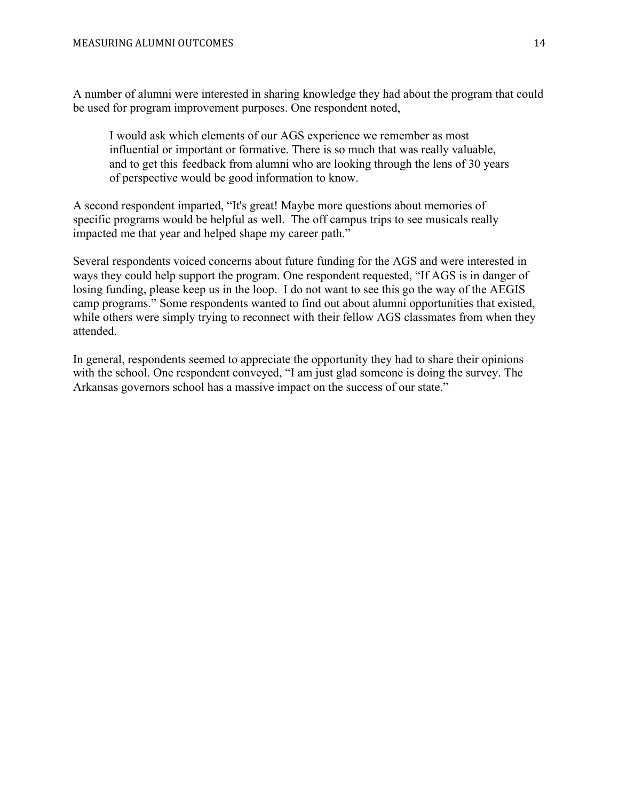A number of alumni were interested in sharing knowledge they had about the program that could be used for program improvement purposes. One respondent noted,

I would ask which elements of our AGS experience we remember as most influential or important or formative. There is so much that was really valuable, and to get this feedback from alumni who are looking through the lens of 30 years of perspective would be good information to know.

A second respondent imparted, "It's great! Maybe more questions about memories of specific programs would be helpful as well. The off campus trips to see musicals really impacted me that year and helped shape my career path."

Several respondents voiced concerns about future funding for the AGS and were interested in ways they could help support the program. One respondent requested, "If AGS is in danger of losing funding, please keep us in the loop. I do not want to see this go the way of the AEGIS camp programs." Some respondents wanted to find out about alumni opportunities that existed, while others were simply trying to reconnect with their fellow AGS classmates from when they attended.

In general, respondents seemed to appreciate the opportunity they had to share their opinions with the school. One respondent conveyed, "I am just glad someone is doing the survey. The Arkansas governors school has a massive impact on the success of our state."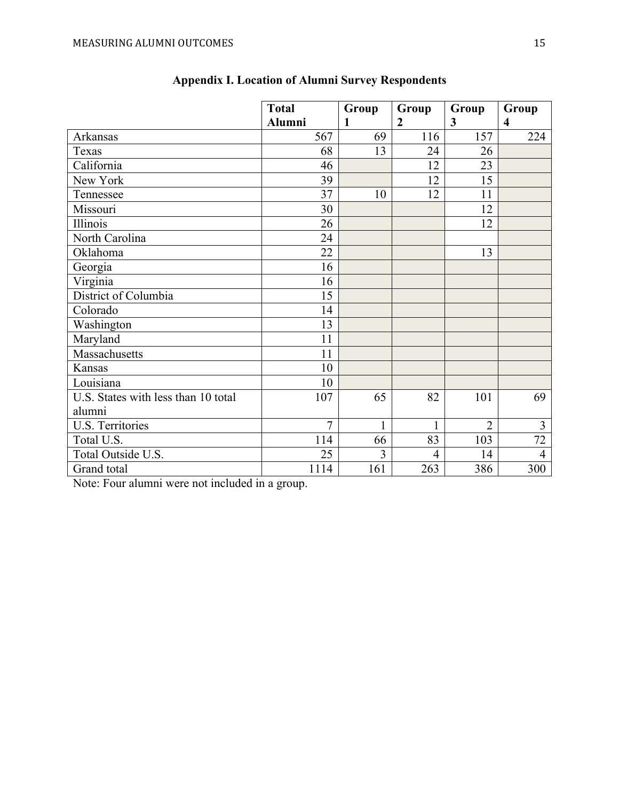|                                     | <b>Total</b>  | Group        | Group          | Group          | Group                   |
|-------------------------------------|---------------|--------------|----------------|----------------|-------------------------|
|                                     | <b>Alumni</b> | 1            | $\overline{2}$ | 3              | $\overline{\mathbf{4}}$ |
| Arkansas                            | 567           | 69           | 116            | 157            | 224                     |
| Texas                               | 68            | 13           | 24             | 26             |                         |
| California                          | 46            |              | 12             | 23             |                         |
| New York                            | 39            |              | 12             | 15             |                         |
| Tennessee                           | 37            | 10           | 12             | 11             |                         |
| Missouri                            | 30            |              |                | 12             |                         |
| Illinois                            | 26            |              |                | 12             |                         |
| North Carolina                      | 24            |              |                |                |                         |
| Oklahoma                            | 22            |              |                | 13             |                         |
| Georgia                             | 16            |              |                |                |                         |
| Virginia                            | 16            |              |                |                |                         |
| District of Columbia                | 15            |              |                |                |                         |
| Colorado                            | 14            |              |                |                |                         |
| Washington                          | 13            |              |                |                |                         |
| Maryland                            | 11            |              |                |                |                         |
| Massachusetts                       | 11            |              |                |                |                         |
| Kansas                              | 10            |              |                |                |                         |
| Louisiana                           | 10            |              |                |                |                         |
| U.S. States with less than 10 total | 107           | 65           | 82             | 101            | 69                      |
| alumni                              |               |              |                |                |                         |
| U.S. Territories                    | 7             | $\mathbf{1}$ | $\mathbf{1}$   | $\overline{2}$ | 3                       |
| Total U.S.                          | 114           | 66           | 83             | 103            | 72                      |
| Total Outside U.S.                  | 25            | 3            | $\overline{4}$ | 14             | $\overline{4}$          |
| Grand total                         | 1114          | 161          | 263            | 386            | 300                     |

# **Appendix I. Location of Alumni Survey Respondents**

Note: Four alumni were not included in a group.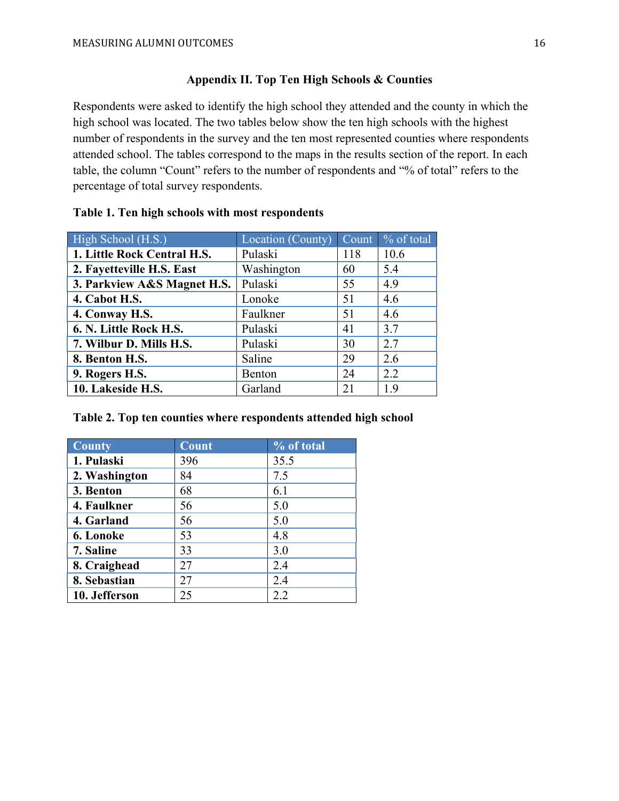## **Appendix II. Top Ten High Schools & Counties**

Respondents were asked to identify the high school they attended and the county in which the high school was located. The two tables below show the ten high schools with the highest number of respondents in the survey and the ten most represented counties where respondents attended school. The tables correspond to the maps in the results section of the report. In each table, the column "Count" refers to the number of respondents and "% of total" refers to the percentage of total survey respondents.

| High School (H.S.)          | Location (County) | Count | % of total |
|-----------------------------|-------------------|-------|------------|
| 1. Little Rock Central H.S. | Pulaski           | 118   | 10.6       |
| 2. Fayetteville H.S. East   | Washington        | 60    | 5.4        |
| 3. Parkview A&S Magnet H.S. | Pulaski           | 55    | 4.9        |
| 4. Cabot H.S.               | Lonoke            | 51    | 4.6        |
| 4. Conway H.S.              | Faulkner          | 51    | 4.6        |
| 6. N. Little Rock H.S.      | Pulaski           | 41    | 3.7        |
| 7. Wilbur D. Mills H.S.     | Pulaski           | 30    | 2.7        |
| 8. Benton H.S.              | Saline            | 29    | 2.6        |
| 9. Rogers H.S.              | Benton            | 24    | 2.2        |
| 10. Lakeside H.S.           | Garland           | 21    | 1.9        |

## **Table 1. Ten high schools with most respondents**

## **Table 2. Top ten counties where respondents attended high school**

| <b>County</b> | <b>Count</b> | % of total |
|---------------|--------------|------------|
| 1. Pulaski    | 396          | 35.5       |
| 2. Washington | 84           | 7.5        |
| 3. Benton     | 68           | 6.1        |
| 4. Faulkner   | 56           | 5.0        |
| 4. Garland    | 56           | 5.0        |
| 6. Lonoke     | 53           | 4.8        |
| 7. Saline     | 33           | 3.0        |
| 8. Craighead  | 27           | 2.4        |
| 8. Sebastian  | 27           | 2.4        |
| 10. Jefferson | 25           | 2.2        |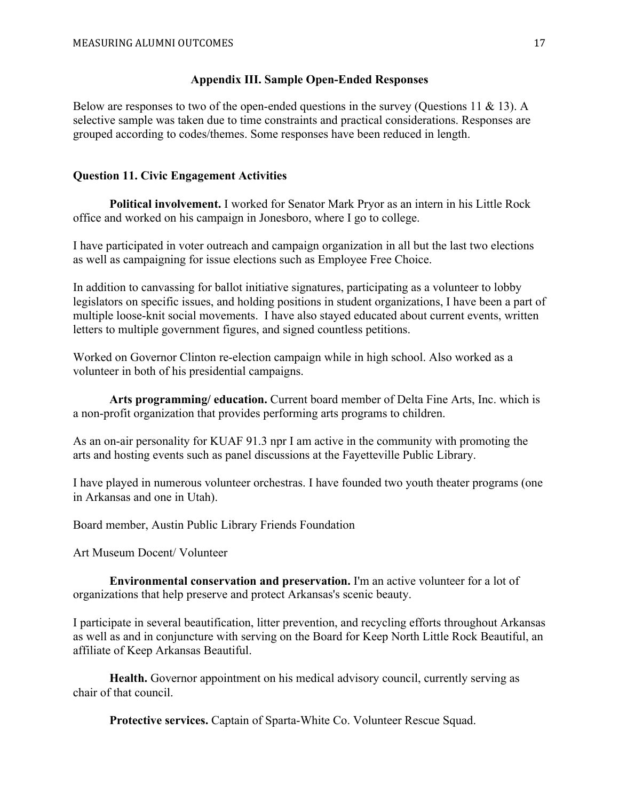#### **Appendix III. Sample Open-Ended Responses**

Below are responses to two of the open-ended questions in the survey (Ouestions 11  $\&$  13). A selective sample was taken due to time constraints and practical considerations. Responses are grouped according to codes/themes. Some responses have been reduced in length.

## **Question 11. Civic Engagement Activities**

**Political involvement.** I worked for Senator Mark Pryor as an intern in his Little Rock office and worked on his campaign in Jonesboro, where I go to college.

I have participated in voter outreach and campaign organization in all but the last two elections as well as campaigning for issue elections such as Employee Free Choice.

In addition to canvassing for ballot initiative signatures, participating as a volunteer to lobby legislators on specific issues, and holding positions in student organizations, I have been a part of multiple loose-knit social movements. I have also stayed educated about current events, written letters to multiple government figures, and signed countless petitions.

Worked on Governor Clinton re-election campaign while in high school. Also worked as a volunteer in both of his presidential campaigns.

**Arts programming/ education.** Current board member of Delta Fine Arts, Inc. which is a non-profit organization that provides performing arts programs to children.

As an on-air personality for KUAF 91.3 npr I am active in the community with promoting the arts and hosting events such as panel discussions at the Fayetteville Public Library.

I have played in numerous volunteer orchestras. I have founded two youth theater programs (one in Arkansas and one in Utah).

Board member, Austin Public Library Friends Foundation

Art Museum Docent/ Volunteer

**Environmental conservation and preservation.** I'm an active volunteer for a lot of organizations that help preserve and protect Arkansas's scenic beauty.

I participate in several beautification, litter prevention, and recycling efforts throughout Arkansas as well as and in conjuncture with serving on the Board for Keep North Little Rock Beautiful, an affiliate of Keep Arkansas Beautiful.

**Health.** Governor appointment on his medical advisory council, currently serving as chair of that council.

**Protective services.** Captain of Sparta-White Co. Volunteer Rescue Squad.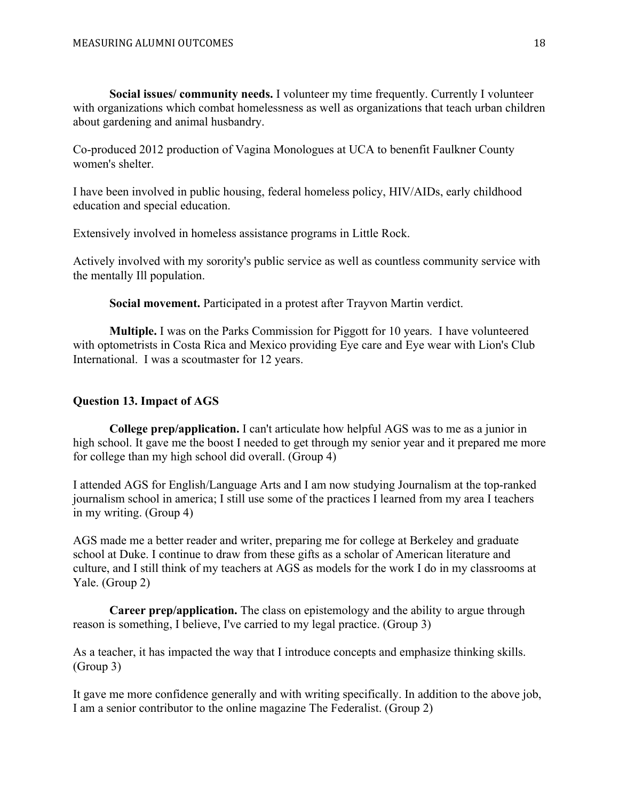**Social issues/ community needs.** I volunteer my time frequently. Currently I volunteer with organizations which combat homelessness as well as organizations that teach urban children about gardening and animal husbandry.

Co-produced 2012 production of Vagina Monologues at UCA to benenfit Faulkner County women's shelter.

I have been involved in public housing, federal homeless policy, HIV/AIDs, early childhood education and special education.

Extensively involved in homeless assistance programs in Little Rock.

Actively involved with my sorority's public service as well as countless community service with the mentally Ill population.

**Social movement.** Participated in a protest after Trayvon Martin verdict.

**Multiple.** I was on the Parks Commission for Piggott for 10 years. I have volunteered with optometrists in Costa Rica and Mexico providing Eye care and Eye wear with Lion's Club International. I was a scoutmaster for 12 years.

# **Question 13. Impact of AGS**

**College prep/application.** I can't articulate how helpful AGS was to me as a junior in high school. It gave me the boost I needed to get through my senior year and it prepared me more for college than my high school did overall. (Group 4)

I attended AGS for English/Language Arts and I am now studying Journalism at the top-ranked journalism school in america; I still use some of the practices I learned from my area I teachers in my writing. (Group 4)

AGS made me a better reader and writer, preparing me for college at Berkeley and graduate school at Duke. I continue to draw from these gifts as a scholar of American literature and culture, and I still think of my teachers at AGS as models for the work I do in my classrooms at Yale. (Group 2)

**Career prep/application.** The class on epistemology and the ability to argue through reason is something, I believe, I've carried to my legal practice. (Group 3)

As a teacher, it has impacted the way that I introduce concepts and emphasize thinking skills. (Group 3)

It gave me more confidence generally and with writing specifically. In addition to the above job, I am a senior contributor to the online magazine The Federalist. (Group 2)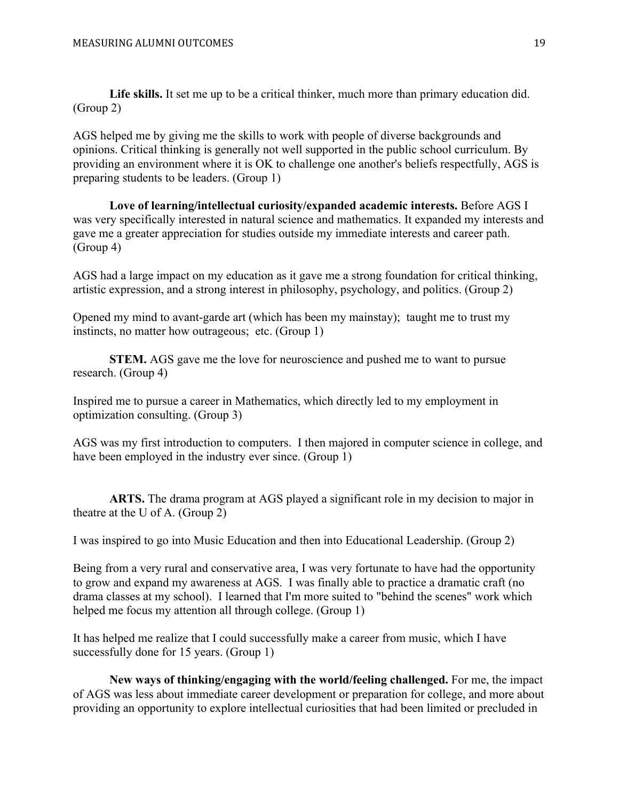**Life skills.** It set me up to be a critical thinker, much more than primary education did. (Group 2)

AGS helped me by giving me the skills to work with people of diverse backgrounds and opinions. Critical thinking is generally not well supported in the public school curriculum. By providing an environment where it is OK to challenge one another's beliefs respectfully, AGS is preparing students to be leaders. (Group 1)

**Love of learning/intellectual curiosity/expanded academic interests.** Before AGS I was very specifically interested in natural science and mathematics. It expanded my interests and gave me a greater appreciation for studies outside my immediate interests and career path. (Group 4)

AGS had a large impact on my education as it gave me a strong foundation for critical thinking, artistic expression, and a strong interest in philosophy, psychology, and politics. (Group 2)

Opened my mind to avant-garde art (which has been my mainstay); taught me to trust my instincts, no matter how outrageous; etc. (Group 1)

**STEM.** AGS gave me the love for neuroscience and pushed me to want to pursue research. (Group 4)

Inspired me to pursue a career in Mathematics, which directly led to my employment in optimization consulting. (Group 3)

AGS was my first introduction to computers. I then majored in computer science in college, and have been employed in the industry ever since. (Group 1)

**ARTS.** The drama program at AGS played a significant role in my decision to major in theatre at the U of A. (Group 2)

I was inspired to go into Music Education and then into Educational Leadership. (Group 2)

Being from a very rural and conservative area, I was very fortunate to have had the opportunity to grow and expand my awareness at AGS. I was finally able to practice a dramatic craft (no drama classes at my school). I learned that I'm more suited to "behind the scenes" work which helped me focus my attention all through college. (Group 1)

It has helped me realize that I could successfully make a career from music, which I have successfully done for 15 years. (Group 1)

**New ways of thinking/engaging with the world/feeling challenged.** For me, the impact of AGS was less about immediate career development or preparation for college, and more about providing an opportunity to explore intellectual curiosities that had been limited or precluded in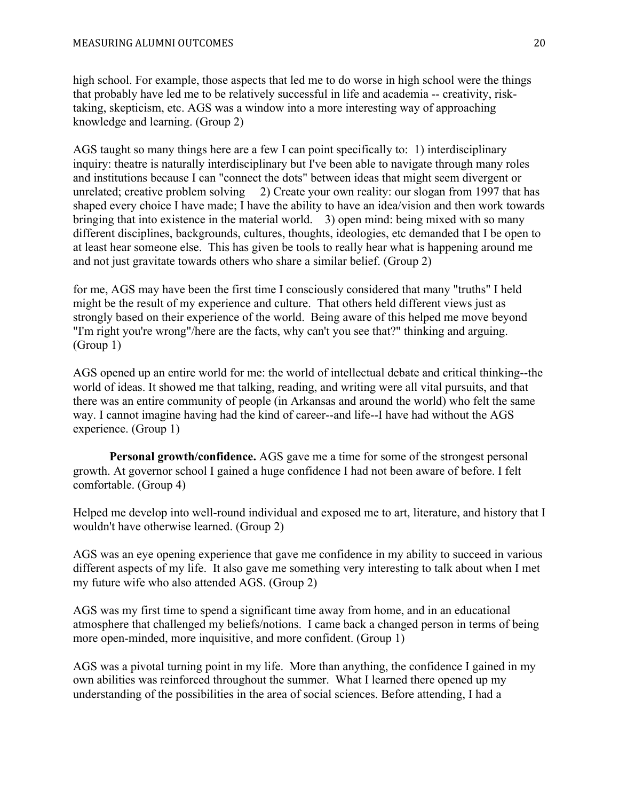high school. For example, those aspects that led me to do worse in high school were the things that probably have led me to be relatively successful in life and academia -- creativity, risktaking, skepticism, etc. AGS was a window into a more interesting way of approaching knowledge and learning. (Group 2)

AGS taught so many things here are a few I can point specifically to: 1) interdisciplinary inquiry: theatre is naturally interdisciplinary but I've been able to navigate through many roles and institutions because I can "connect the dots" between ideas that might seem divergent or unrelated; creative problem solving 2) Create your own reality: our slogan from 1997 that has shaped every choice I have made; I have the ability to have an idea/vision and then work towards bringing that into existence in the material world. 3) open mind: being mixed with so many different disciplines, backgrounds, cultures, thoughts, ideologies, etc demanded that I be open to at least hear someone else. This has given be tools to really hear what is happening around me and not just gravitate towards others who share a similar belief. (Group 2)

for me, AGS may have been the first time I consciously considered that many "truths" I held might be the result of my experience and culture. That others held different views just as strongly based on their experience of the world. Being aware of this helped me move beyond "I'm right you're wrong"/here are the facts, why can't you see that?" thinking and arguing. (Group 1)

AGS opened up an entire world for me: the world of intellectual debate and critical thinking--the world of ideas. It showed me that talking, reading, and writing were all vital pursuits, and that there was an entire community of people (in Arkansas and around the world) who felt the same way. I cannot imagine having had the kind of career--and life--I have had without the AGS experience. (Group 1)

**Personal growth/confidence.** AGS gave me a time for some of the strongest personal growth. At governor school I gained a huge confidence I had not been aware of before. I felt comfortable. (Group 4)

Helped me develop into well-round individual and exposed me to art, literature, and history that I wouldn't have otherwise learned. (Group 2)

AGS was an eye opening experience that gave me confidence in my ability to succeed in various different aspects of my life. It also gave me something very interesting to talk about when I met my future wife who also attended AGS. (Group 2)

AGS was my first time to spend a significant time away from home, and in an educational atmosphere that challenged my beliefs/notions. I came back a changed person in terms of being more open-minded, more inquisitive, and more confident. (Group 1)

AGS was a pivotal turning point in my life. More than anything, the confidence I gained in my own abilities was reinforced throughout the summer. What I learned there opened up my understanding of the possibilities in the area of social sciences. Before attending, I had a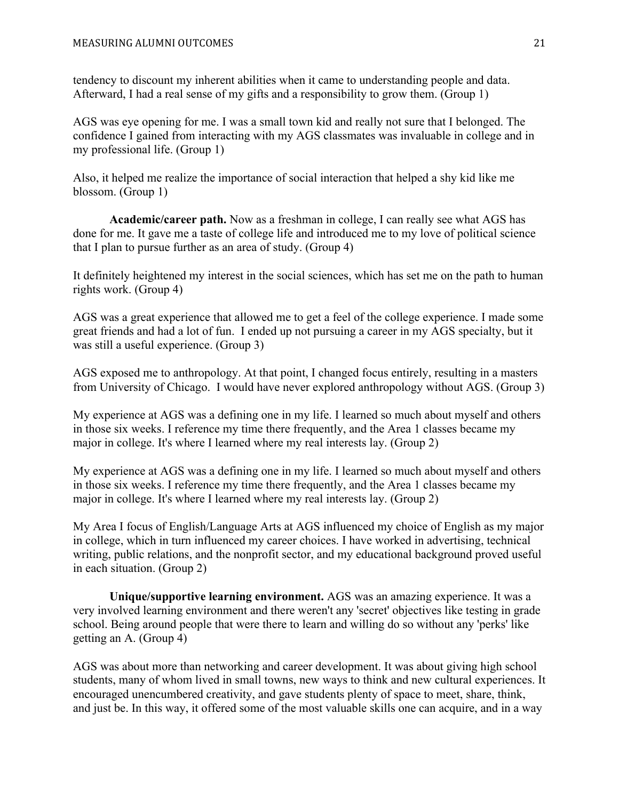tendency to discount my inherent abilities when it came to understanding people and data. Afterward, I had a real sense of my gifts and a responsibility to grow them. (Group 1)

AGS was eye opening for me. I was a small town kid and really not sure that I belonged. The confidence I gained from interacting with my AGS classmates was invaluable in college and in my professional life. (Group 1)

Also, it helped me realize the importance of social interaction that helped a shy kid like me blossom. (Group 1)

**Academic/career path.** Now as a freshman in college, I can really see what AGS has done for me. It gave me a taste of college life and introduced me to my love of political science that I plan to pursue further as an area of study. (Group 4)

It definitely heightened my interest in the social sciences, which has set me on the path to human rights work. (Group 4)

AGS was a great experience that allowed me to get a feel of the college experience. I made some great friends and had a lot of fun. I ended up not pursuing a career in my AGS specialty, but it was still a useful experience. (Group 3)

AGS exposed me to anthropology. At that point, I changed focus entirely, resulting in a masters from University of Chicago. I would have never explored anthropology without AGS. (Group 3)

My experience at AGS was a defining one in my life. I learned so much about myself and others in those six weeks. I reference my time there frequently, and the Area 1 classes became my major in college. It's where I learned where my real interests lay. (Group 2)

My experience at AGS was a defining one in my life. I learned so much about myself and others in those six weeks. I reference my time there frequently, and the Area 1 classes became my major in college. It's where I learned where my real interests lay. (Group 2)

My Area I focus of English/Language Arts at AGS influenced my choice of English as my major in college, which in turn influenced my career choices. I have worked in advertising, technical writing, public relations, and the nonprofit sector, and my educational background proved useful in each situation. (Group 2)

**Unique/supportive learning environment.** AGS was an amazing experience. It was a very involved learning environment and there weren't any 'secret' objectives like testing in grade school. Being around people that were there to learn and willing do so without any 'perks' like getting an A. (Group 4)

AGS was about more than networking and career development. It was about giving high school students, many of whom lived in small towns, new ways to think and new cultural experiences. It encouraged unencumbered creativity, and gave students plenty of space to meet, share, think, and just be. In this way, it offered some of the most valuable skills one can acquire, and in a way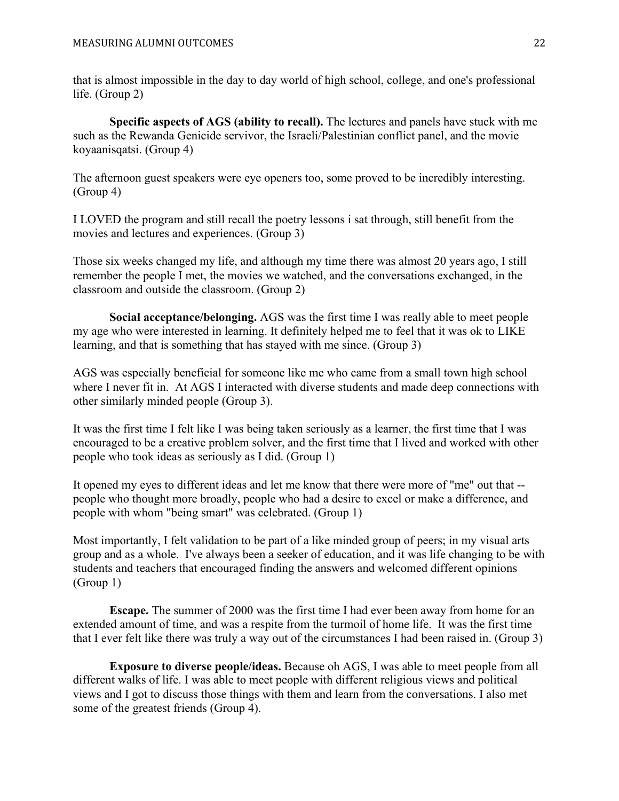that is almost impossible in the day to day world of high school, college, and one's professional life. (Group 2)

**Specific aspects of AGS (ability to recall).** The lectures and panels have stuck with me such as the Rewanda Genicide servivor, the Israeli/Palestinian conflict panel, and the movie koyaanisqatsi. (Group 4)

The afternoon guest speakers were eye openers too, some proved to be incredibly interesting. (Group 4)

I LOVED the program and still recall the poetry lessons i sat through, still benefit from the movies and lectures and experiences. (Group 3)

Those six weeks changed my life, and although my time there was almost 20 years ago, I still remember the people I met, the movies we watched, and the conversations exchanged, in the classroom and outside the classroom. (Group 2)

**Social acceptance/belonging.** AGS was the first time I was really able to meet people my age who were interested in learning. It definitely helped me to feel that it was ok to LIKE learning, and that is something that has stayed with me since. (Group 3)

AGS was especially beneficial for someone like me who came from a small town high school where I never fit in. At AGS I interacted with diverse students and made deep connections with other similarly minded people (Group 3).

It was the first time I felt like I was being taken seriously as a learner, the first time that I was encouraged to be a creative problem solver, and the first time that I lived and worked with other people who took ideas as seriously as I did. (Group 1)

It opened my eyes to different ideas and let me know that there were more of "me" out that - people who thought more broadly, people who had a desire to excel or make a difference, and people with whom "being smart" was celebrated. (Group 1)

Most importantly, I felt validation to be part of a like minded group of peers; in my visual arts group and as a whole. I've always been a seeker of education, and it was life changing to be with students and teachers that encouraged finding the answers and welcomed different opinions (Group 1)

**Escape.** The summer of 2000 was the first time I had ever been away from home for an extended amount of time, and was a respite from the turmoil of home life. It was the first time that I ever felt like there was truly a way out of the circumstances I had been raised in. (Group 3)

**Exposure to diverse people/ideas.** Because oh AGS, I was able to meet people from all different walks of life. I was able to meet people with different religious views and political views and I got to discuss those things with them and learn from the conversations. I also met some of the greatest friends (Group 4).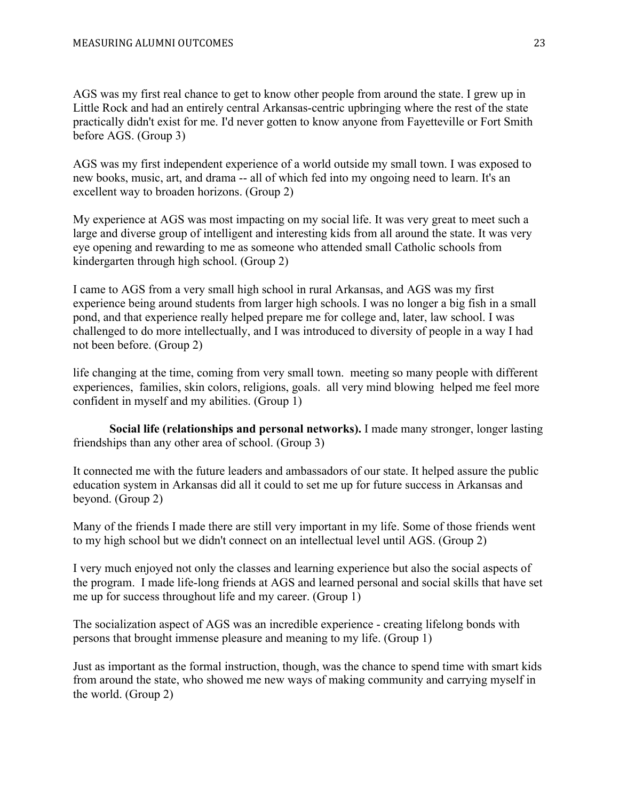AGS was my first real chance to get to know other people from around the state. I grew up in Little Rock and had an entirely central Arkansas-centric upbringing where the rest of the state practically didn't exist for me. I'd never gotten to know anyone from Fayetteville or Fort Smith before AGS. (Group 3)

AGS was my first independent experience of a world outside my small town. I was exposed to new books, music, art, and drama -- all of which fed into my ongoing need to learn. It's an excellent way to broaden horizons. (Group 2)

My experience at AGS was most impacting on my social life. It was very great to meet such a large and diverse group of intelligent and interesting kids from all around the state. It was very eye opening and rewarding to me as someone who attended small Catholic schools from kindergarten through high school. (Group 2)

I came to AGS from a very small high school in rural Arkansas, and AGS was my first experience being around students from larger high schools. I was no longer a big fish in a small pond, and that experience really helped prepare me for college and, later, law school. I was challenged to do more intellectually, and I was introduced to diversity of people in a way I had not been before. (Group 2)

life changing at the time, coming from very small town. meeting so many people with different experiences, families, skin colors, religions, goals. all very mind blowing helped me feel more confident in myself and my abilities. (Group 1)

**Social life (relationships and personal networks).** I made many stronger, longer lasting friendships than any other area of school. (Group 3)

It connected me with the future leaders and ambassadors of our state. It helped assure the public education system in Arkansas did all it could to set me up for future success in Arkansas and beyond. (Group 2)

Many of the friends I made there are still very important in my life. Some of those friends went to my high school but we didn't connect on an intellectual level until AGS. (Group 2)

I very much enjoyed not only the classes and learning experience but also the social aspects of the program. I made life-long friends at AGS and learned personal and social skills that have set me up for success throughout life and my career. (Group 1)

The socialization aspect of AGS was an incredible experience - creating lifelong bonds with persons that brought immense pleasure and meaning to my life. (Group 1)

Just as important as the formal instruction, though, was the chance to spend time with smart kids from around the state, who showed me new ways of making community and carrying myself in the world. (Group 2)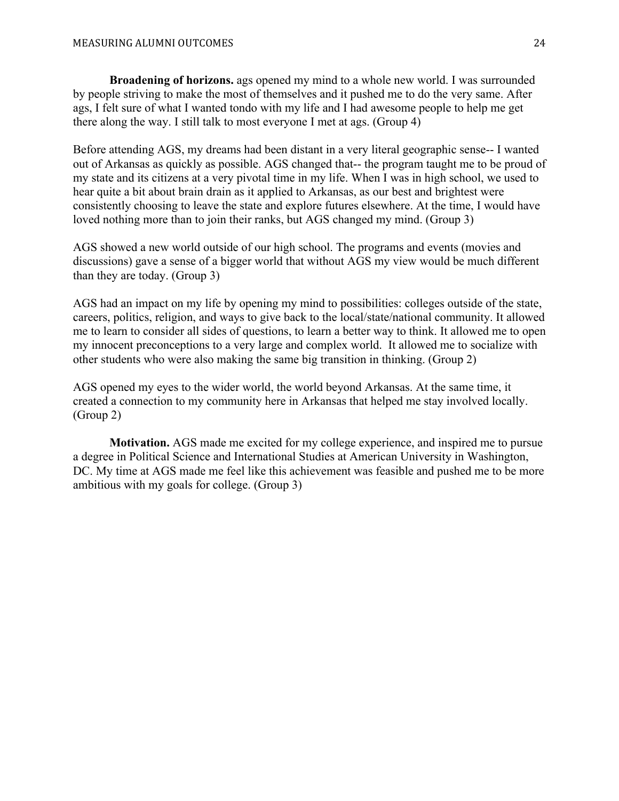**Broadening of horizons.** ags opened my mind to a whole new world. I was surrounded by people striving to make the most of themselves and it pushed me to do the very same. After ags, I felt sure of what I wanted tondo with my life and I had awesome people to help me get there along the way. I still talk to most everyone I met at ags. (Group 4)

Before attending AGS, my dreams had been distant in a very literal geographic sense-- I wanted out of Arkansas as quickly as possible. AGS changed that-- the program taught me to be proud of my state and its citizens at a very pivotal time in my life. When I was in high school, we used to hear quite a bit about brain drain as it applied to Arkansas, as our best and brightest were consistently choosing to leave the state and explore futures elsewhere. At the time, I would have loved nothing more than to join their ranks, but AGS changed my mind. (Group 3)

AGS showed a new world outside of our high school. The programs and events (movies and discussions) gave a sense of a bigger world that without AGS my view would be much different than they are today. (Group 3)

AGS had an impact on my life by opening my mind to possibilities: colleges outside of the state, careers, politics, religion, and ways to give back to the local/state/national community. It allowed me to learn to consider all sides of questions, to learn a better way to think. It allowed me to open my innocent preconceptions to a very large and complex world. It allowed me to socialize with other students who were also making the same big transition in thinking. (Group 2)

AGS opened my eyes to the wider world, the world beyond Arkansas. At the same time, it created a connection to my community here in Arkansas that helped me stay involved locally. (Group 2)

**Motivation.** AGS made me excited for my college experience, and inspired me to pursue a degree in Political Science and International Studies at American University in Washington, DC. My time at AGS made me feel like this achievement was feasible and pushed me to be more ambitious with my goals for college. (Group 3)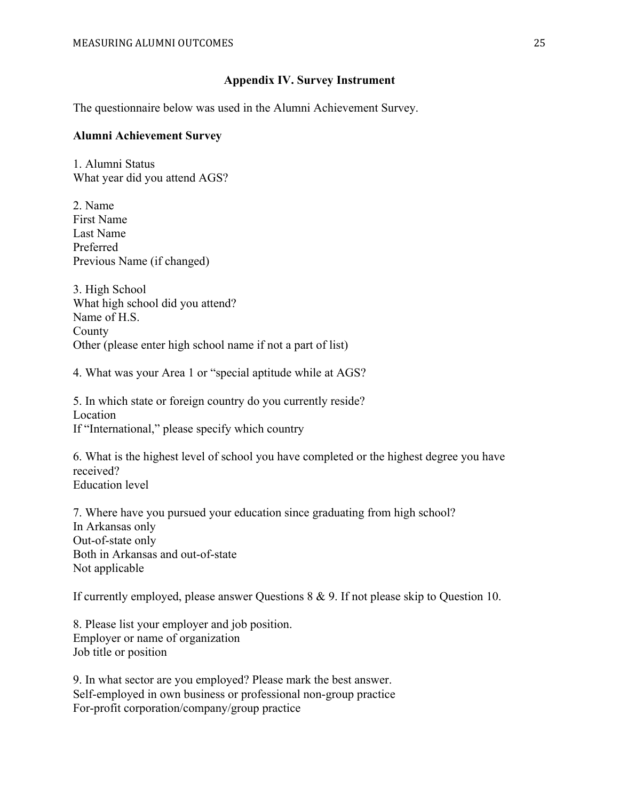#### **Appendix IV. Survey Instrument**

The questionnaire below was used in the Alumni Achievement Survey.

#### **Alumni Achievement Survey**

1. Alumni Status What year did you attend AGS?

2. Name First Name Last Name Preferred Previous Name (if changed)

3. High School What high school did you attend? Name of H.S. **County** Other (please enter high school name if not a part of list)

4. What was your Area 1 or "special aptitude while at AGS?

5. In which state or foreign country do you currently reside? Location If "International," please specify which country

6. What is the highest level of school you have completed or the highest degree you have received? Education level

7. Where have you pursued your education since graduating from high school? In Arkansas only Out-of-state only Both in Arkansas and out-of-state Not applicable

If currently employed, please answer Questions 8 & 9. If not please skip to Question 10.

8. Please list your employer and job position. Employer or name of organization Job title or position

9. In what sector are you employed? Please mark the best answer. Self-employed in own business or professional non-group practice For-profit corporation/company/group practice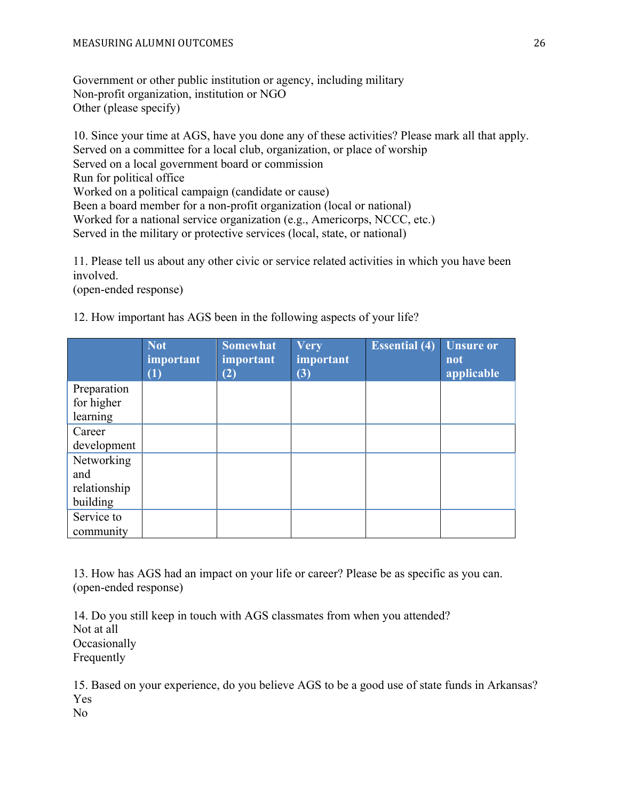Government or other public institution or agency, including military Non-profit organization, institution or NGO Other (please specify)

10. Since your time at AGS, have you done any of these activities? Please mark all that apply. Served on a committee for a local club, organization, or place of worship Served on a local government board or commission Run for political office Worked on a political campaign (candidate or cause) Been a board member for a non-profit organization (local or national) Worked for a national service organization (e.g., Americorps, NCCC, etc.) Served in the military or protective services (local, state, or national)

11. Please tell us about any other civic or service related activities in which you have been involved.

(open-ended response)

12. How important has AGS been in the following aspects of your life?

|              | Not<br><i>important</i><br>$\left(1\right)$ | <b>Somewhat</b><br><i>important</i><br>(2) | <b>Very</b><br>important<br>(3) | <b>Essential</b> $\overline{(4)}$ | <b>Unsure or</b><br>not<br>applicable |
|--------------|---------------------------------------------|--------------------------------------------|---------------------------------|-----------------------------------|---------------------------------------|
| Preparation  |                                             |                                            |                                 |                                   |                                       |
| for higher   |                                             |                                            |                                 |                                   |                                       |
| learning     |                                             |                                            |                                 |                                   |                                       |
| Career       |                                             |                                            |                                 |                                   |                                       |
| development  |                                             |                                            |                                 |                                   |                                       |
| Networking   |                                             |                                            |                                 |                                   |                                       |
| and          |                                             |                                            |                                 |                                   |                                       |
| relationship |                                             |                                            |                                 |                                   |                                       |
| building     |                                             |                                            |                                 |                                   |                                       |
| Service to   |                                             |                                            |                                 |                                   |                                       |
| community    |                                             |                                            |                                 |                                   |                                       |

13. How has AGS had an impact on your life or career? Please be as specific as you can. (open-ended response)

14. Do you still keep in touch with AGS classmates from when you attended? Not at all **Occasionally** Frequently

15. Based on your experience, do you believe AGS to be a good use of state funds in Arkansas? Yes

No